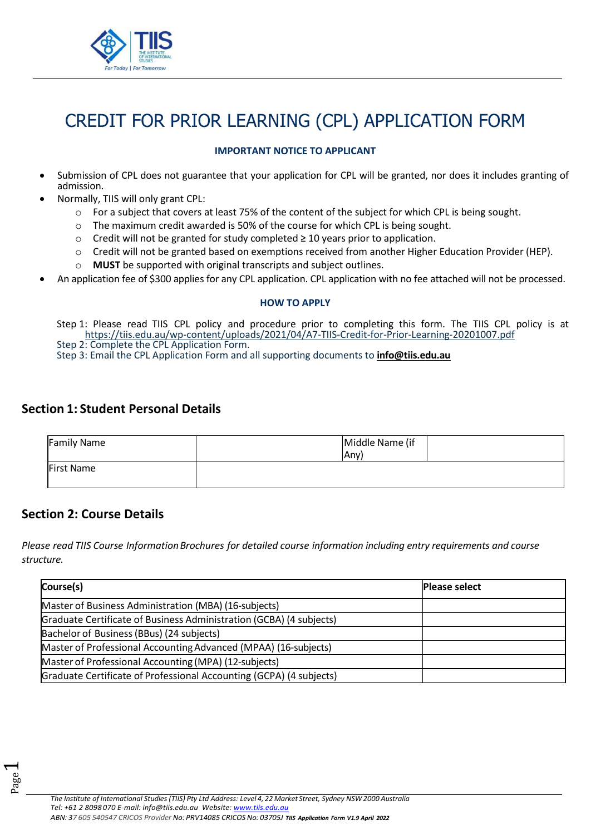

# CREDIT FOR PRIOR LEARNING (CPL) APPLICATION FORM

#### **IMPORTANT NOTICE TO APPLICANT**

- Submission of CPL does not guarantee that your application for CPL will be granted, nor does it includes granting of admission.
- Normally, TIIS will only grant CPL:
	- o For a subject that covers at least 75% of the content of the subject for which CPL is being sought.
	- $\circ$  The maximum credit awarded is 50% of the course for which CPL is being sought.
	- $\circ$  Credit will not be granted for study completed  $\geq 10$  years prior to application.
	- o Credit will not be granted based on exemptions received from another Higher Education Provider (HEP).
	- o **MUST** be supported with original transcripts and subject outlines.
- An application fee of \$300 applies for any CPL application. CPL application with no fee attached will not be processed.

#### **HOW TO APPLY**

Step 1: Please read TIIS CPL policy and procedure prior to completing this form. The TIIS CPL policy is at https://tiis.edu.au/wp-content/uploads/2021/04/A7[-TIIS-Credit-for-Prior-Learning-](https://tiis.edu.au/wp-content/uploads/2021/04/A7-TIIS-Credit-for-Prior-Learning-20201007.pdf)20201007.pdf

Step 2: Complete the CPL Application Form.

Step 3: Email the CPL Application Form and all supporting documents to **[info@tiis.edu.au](mailto:info@tiis.edu.au)**

### **Section 1: Student Personal Details**

| <b>Family Name</b> | Middle Name (if<br><b>Any</b> ) |  |
|--------------------|---------------------------------|--|
| <b>First Name</b>  |                                 |  |

### **Section 2: Course Details**

Page  $\overline{\phantom{0}}$ 

*Please read TIIS Course InformationBrochures for detailed course information including entry requirements and course structure.* 

| Course(s)                                                           | <b>Please select</b> |
|---------------------------------------------------------------------|----------------------|
| Master of Business Administration (MBA) (16-subjects)               |                      |
| Graduate Certificate of Business Administration (GCBA) (4 subjects) |                      |
| Bachelor of Business (BBus) (24 subjects)                           |                      |
| Master of Professional Accounting Advanced (MPAA) (16-subjects)     |                      |
| Master of Professional Accounting (MPA) (12-subjects)               |                      |
| Graduate Certificate of Professional Accounting (GCPA) (4 subjects) |                      |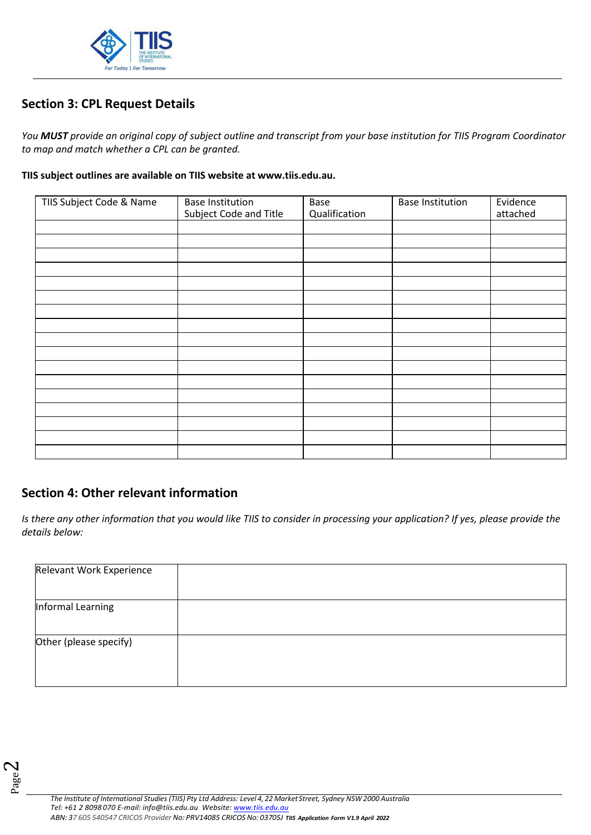

## **Section 3: CPL Request Details**

*You MUST provide an original copy of subject outline and transcript from your base institution for TIIS Program Coordinator to map and match whether a CPL can be granted.* 

#### **TIIS subject outlines are available on TIIS website at www.tiis.edu.au.**

| TIIS Subject Code & Name | <b>Base Institution</b><br>Subject Code and Title | Base<br>Qualification | <b>Base Institution</b> | Evidence<br>attached |
|--------------------------|---------------------------------------------------|-----------------------|-------------------------|----------------------|
|                          |                                                   |                       |                         |                      |
|                          |                                                   |                       |                         |                      |
|                          |                                                   |                       |                         |                      |
|                          |                                                   |                       |                         |                      |
|                          |                                                   |                       |                         |                      |
|                          |                                                   |                       |                         |                      |
|                          |                                                   |                       |                         |                      |
|                          |                                                   |                       |                         |                      |
|                          |                                                   |                       |                         |                      |
|                          |                                                   |                       |                         |                      |
|                          |                                                   |                       |                         |                      |
|                          |                                                   |                       |                         |                      |
|                          |                                                   |                       |                         |                      |
|                          |                                                   |                       |                         |                      |
|                          |                                                   |                       |                         |                      |
|                          |                                                   |                       |                         |                      |
|                          |                                                   |                       |                         |                      |

## **Section 4: Other relevant information**

*Is there any other information that you would like TIIS to consider in processing your application? If yes, please provide the details below:*

| Relevant Work Experience |  |
|--------------------------|--|
| Informal Learning        |  |
| Other (please specify)   |  |
|                          |  |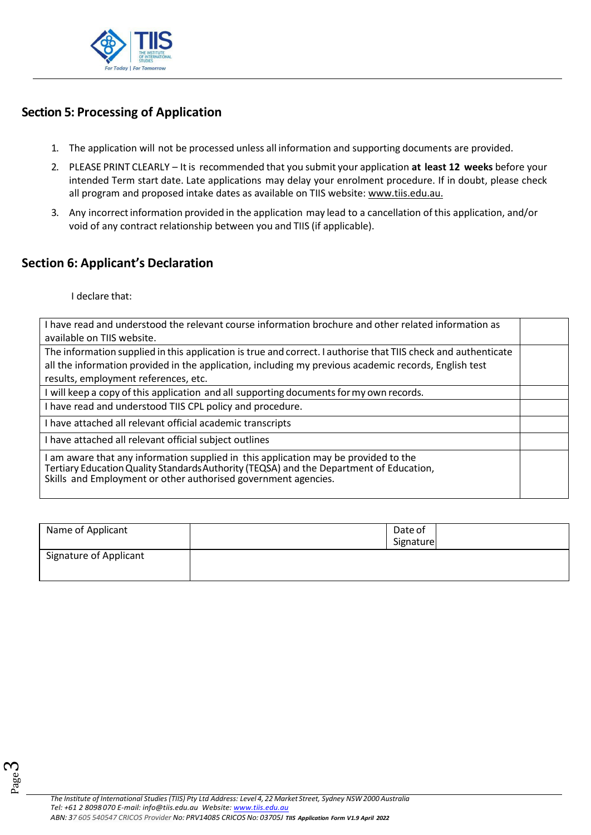

## **Section 5: Processing of Application**

- 1. The application will not be processed unless all information and supporting documents are provided.
- 2. PLEASE PRINT CLEARLY It is recommended that you submit your application **at least 12 weeks** before your intended Term start date. Late applications may delay your enrolment procedure. If in doubt, please check all program and proposed intake dates as available on TIIS website: [www.tiis.edu.au.](http://www.tiis.edu.au/)
- 3. Any incorrectinformation provided in the application may lead to a cancellation of this application, and/or void of any contract relationship between you and TIIS (if applicable).

## **Section 6: Applicant's Declaration**

I declare that:

| I have read and understood the relevant course information brochure and other related information as<br>available on TIIS website.                                                                                                               |  |
|--------------------------------------------------------------------------------------------------------------------------------------------------------------------------------------------------------------------------------------------------|--|
| The information supplied in this application is true and correct. I authorise that TIIS check and authenticate                                                                                                                                   |  |
| all the information provided in the application, including my previous academic records, English test<br>results, employment references, etc.                                                                                                    |  |
| I will keep a copy of this application and all supporting documents for my own records.                                                                                                                                                          |  |
| I have read and understood TIIS CPL policy and procedure.                                                                                                                                                                                        |  |
| I have attached all relevant official academic transcripts                                                                                                                                                                                       |  |
| I have attached all relevant official subject outlines                                                                                                                                                                                           |  |
| I am aware that any information supplied in this application may be provided to the<br>Tertiary Education Quality Standards Authority (TEQSA) and the Department of Education,<br>Skills and Employment or other authorised government agencies. |  |

| Name of Applicant             | Date of<br>Signature |  |
|-------------------------------|----------------------|--|
| <b>Signature of Applicant</b> |                      |  |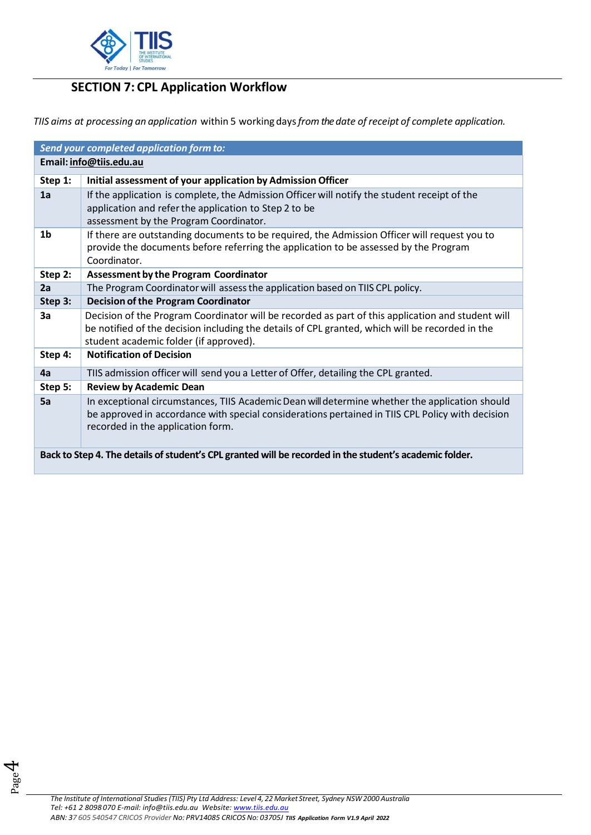

# **SECTION 7: CPL Application Workflow**

*TIIS aims at processing an application* within 5 working days*from the date of receipt of complete application.* 

| Send your completed application form to:                                                                |                                                                                                                                                                                                                                                |  |  |  |
|---------------------------------------------------------------------------------------------------------|------------------------------------------------------------------------------------------------------------------------------------------------------------------------------------------------------------------------------------------------|--|--|--|
| Email: info@tiis.edu.au                                                                                 |                                                                                                                                                                                                                                                |  |  |  |
| Step 1:                                                                                                 | Initial assessment of your application by Admission Officer                                                                                                                                                                                    |  |  |  |
| 1a                                                                                                      | If the application is complete, the Admission Officer will notify the student receipt of the<br>application and refer the application to Step 2 to be<br>assessment by the Program Coordinator.                                                |  |  |  |
| 1 <sub>b</sub>                                                                                          | If there are outstanding documents to be required, the Admission Officer will request you to<br>provide the documents before referring the application to be assessed by the Program<br>Coordinator.                                           |  |  |  |
| Step 2:                                                                                                 | <b>Assessment by the Program Coordinator</b>                                                                                                                                                                                                   |  |  |  |
| 2a                                                                                                      | The Program Coordinator will assess the application based on TIIS CPL policy.                                                                                                                                                                  |  |  |  |
| Step 3:                                                                                                 | <b>Decision of the Program Coordinator</b>                                                                                                                                                                                                     |  |  |  |
| 3a                                                                                                      | Decision of the Program Coordinator will be recorded as part of this application and student will<br>be notified of the decision including the details of CPL granted, which will be recorded in the<br>student academic folder (if approved). |  |  |  |
| Step 4:                                                                                                 | <b>Notification of Decision</b>                                                                                                                                                                                                                |  |  |  |
| 4a                                                                                                      | TIIS admission officer will send you a Letter of Offer, detailing the CPL granted.                                                                                                                                                             |  |  |  |
| Step 5:                                                                                                 | <b>Review by Academic Dean</b>                                                                                                                                                                                                                 |  |  |  |
| 5a                                                                                                      | In exceptional circumstances, TIIS Academic Dean will determine whether the application should<br>be approved in accordance with special considerations pertained in TIIS CPL Policy with decision<br>recorded in the application form.        |  |  |  |
| Back to Step 4. The details of student's CPL granted will be recorded in the student's academic folder. |                                                                                                                                                                                                                                                |  |  |  |

Page 4